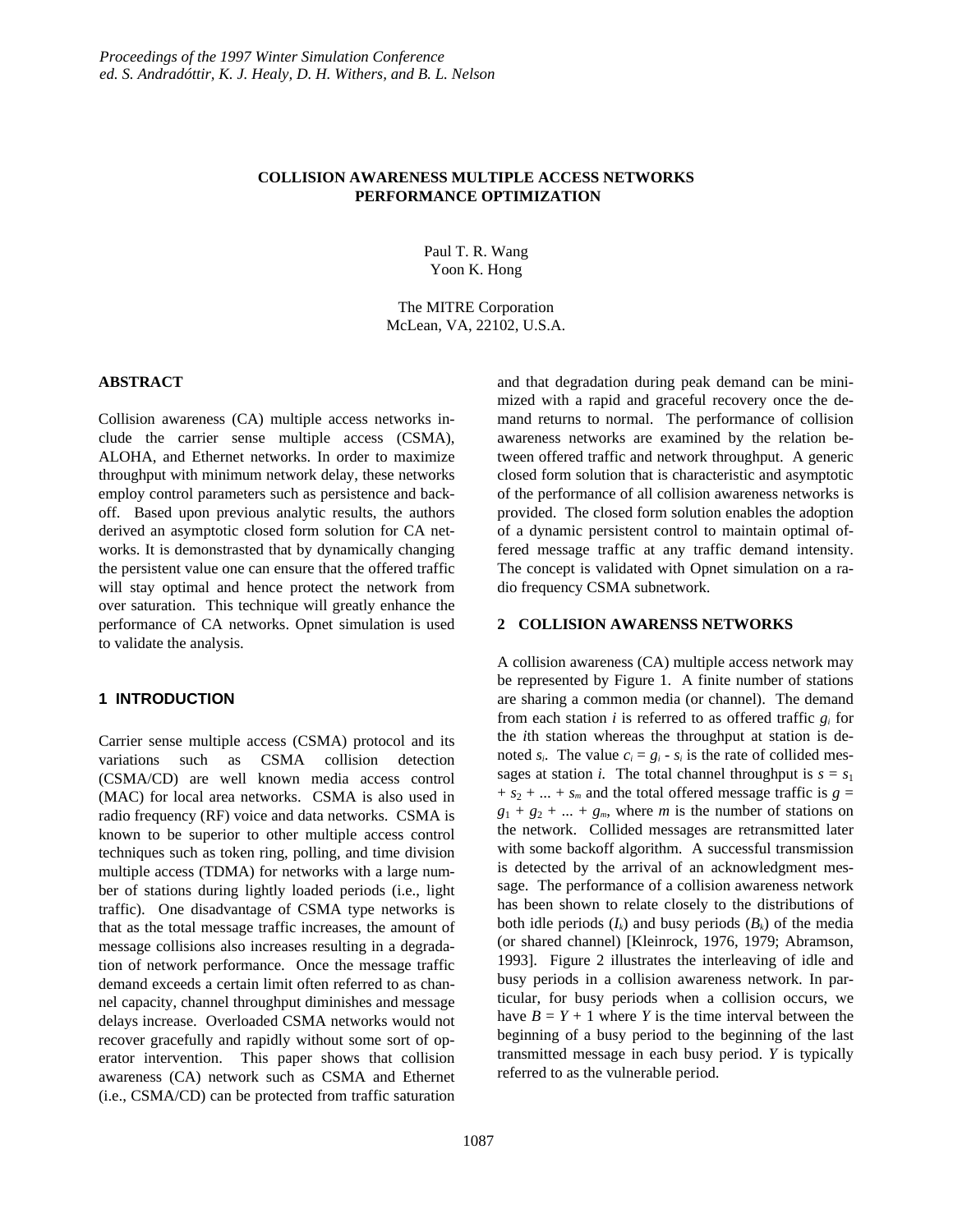## **COLLISION AWARENESS MULTIPLE ACCESS NETWORKS PERFORMANCE OPTIMIZATION**

Paul T. R. Wang Yoon K. Hong

The MITRE Corporation McLean, VA, 22102, U.S.A.

#### **ABSTRACT**

Collision awareness (CA) multiple access networks include the carrier sense multiple access (CSMA), ALOHA, and Ethernet networks. In order to maximize throughput with minimum network delay, these networks employ control parameters such as persistence and backoff. Based upon previous analytic results, the authors derived an asymptotic closed form solution for CA networks. It is demonstrasted that by dynamically changing the persistent value one can ensure that the offered traffic will stay optimal and hence protect the network from over saturation. This technique will greatly enhance the performance of CA networks. Opnet simulation is used to validate the analysis.

#### **1 INTRODUCTION**

Carrier sense multiple access (CSMA) protocol and its variations such as CSMA collision detection (CSMA/CD) are well known media access control (MAC) for local area networks. CSMA is also used in radio frequency (RF) voice and data networks. CSMA is known to be superior to other multiple access control techniques such as token ring, polling, and time division multiple access (TDMA) for networks with a large number of stations during lightly loaded periods (i.e., light traffic). One disadvantage of CSMA type networks is that as the total message traffic increases, the amount of message collisions also increases resulting in a degradation of network performance. Once the message traffic demand exceeds a certain limit often referred to as channel capacity, channel throughput diminishes and message delays increase. Overloaded CSMA networks would not recover gracefully and rapidly without some sort of operator intervention. This paper shows that collision awareness (CA) network such as CSMA and Ethernet (i.e., CSMA/CD) can be protected from traffic saturation

and that degradation during peak demand can be minimized with a rapid and graceful recovery once the demand returns to normal. The performance of collision awareness networks are examined by the relation between offered traffic and network throughput. A generic closed form solution that is characteristic and asymptotic of the performance of all collision awareness networks is provided. The closed form solution enables the adoption of a dynamic persistent control to maintain optimal offered message traffic at any traffic demand intensity. The concept is validated with Opnet simulation on a radio frequency CSMA subnetwork.

### **2 COLLISION AWARENSS NETWORKS**

A collision awareness (CA) multiple access network may be represented by Figure 1. A finite number of stations are sharing a common media (or channel). The demand from each station  $i$  is referred to as offered traffic  $g_i$  for the *i*th station whereas the throughput at station is denoted  $s_i$ . The value  $c_i = g_i - s_i$  is the rate of collided messages at station *i*. The total channel throughput is  $s = s_1$  $+ s_2 + ... + s_m$  and the total offered message traffic is  $g =$  $g_1 + g_2 + \ldots + g_m$ , where *m* is the number of stations on the network. Collided messages are retransmitted later with some backoff algorithm. A successful transmission is detected by the arrival of an acknowledgment message. The performance of a collision awareness network has been shown to relate closely to the distributions of both idle periods  $(I_k)$  and busy periods  $(B_k)$  of the media (or shared channel) [Kleinrock, 1976, 1979; Abramson, 1993]. Figure 2 illustrates the interleaving of idle and busy periods in a collision awareness network. In particular, for busy periods when a collision occurs, we have  $B = Y + 1$  where *Y* is the time interval between the beginning of a busy period to the beginning of the last transmitted message in each busy period. *Y* is typically referred to as the vulnerable period.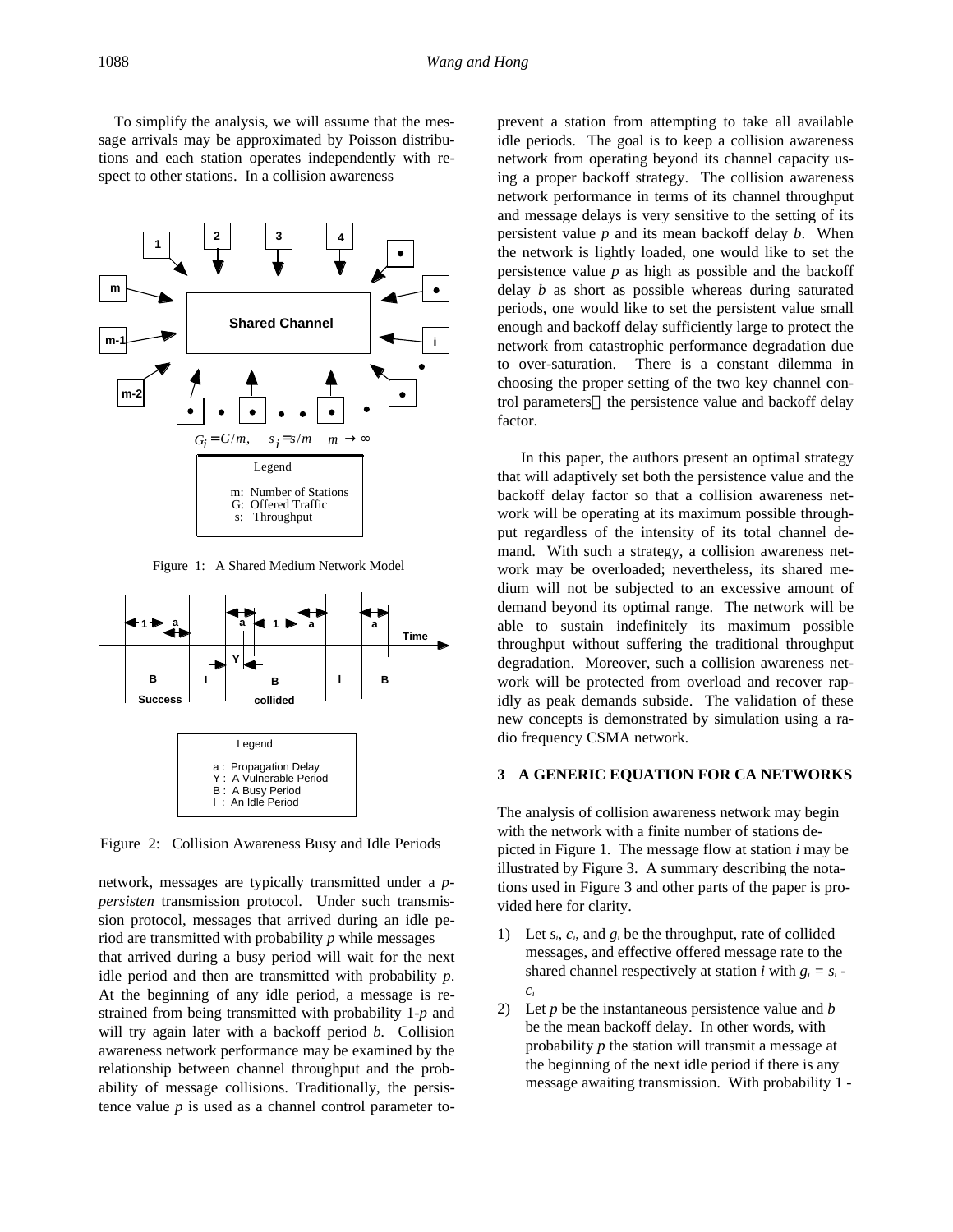To simplify the analysis, we will assume that the message arrivals may be approximated by Poisson distributions and each station operates independently with respect to other stations. In a collision awareness



Figure 1: A Shared Medium Network Model



Figure 2: Collision Awareness Busy and Idle Periods

network, messages are typically transmitted under a *ppersisten* transmission protocol. Under such transmission protocol, messages that arrived during an idle period are transmitted with probability *p* while messages that arrived during a busy period will wait for the next idle period and then are transmitted with probability *p*. At the beginning of any idle period, a message is restrained from being transmitted with probability 1-*p* and will try again later with a backoff period *b.* Collision awareness network performance may be examined by the relationship between channel throughput and the probability of message collisions. Traditionally, the persistence value *p* is used as a channel control parameter toprevent a station from attempting to take all available idle periods. The goal is to keep a collision awareness network from operating beyond its channel capacity using a proper backoff strategy. The collision awareness network performance in terms of its channel throughput and message delays is very sensitive to the setting of its persistent value *p* and its mean backoff delay *b*. When the network is lightly loaded, one would like to set the persistence value *p* as high as possible and the backoff delay *b* as short as possible whereas during saturated periods, one would like to set the persistent value small enough and backoff delay sufficiently large to protect the network from catastrophic performance degradation due to over-saturation. There is a constant dilemma in choosing the proper setting of the two key channel control parameters—the persistence value and backoff delay factor.

 In this paper, the authors present an optimal strategy that will adaptively set both the persistence value and the backoff delay factor so that a collision awareness network will be operating at its maximum possible throughput regardless of the intensity of its total channel demand. With such a strategy, a collision awareness network may be overloaded; nevertheless, its shared medium will not be subjected to an excessive amount of demand beyond its optimal range. The network will be able to sustain indefinitely its maximum possible throughput without suffering the traditional throughput degradation. Moreover, such a collision awareness network will be protected from overload and recover rapidly as peak demands subside. The validation of these new concepts is demonstrated by simulation using a radio frequency CSMA network.

### **3 A GENERIC EQUATION FOR CA NETWORKS**

The analysis of collision awareness network may begin with the network with a finite number of stations depicted in Figure 1. The message flow at station *i* may be illustrated by Figure 3. A summary describing the notations used in Figure 3 and other parts of the paper is provided here for clarity.

- 1) Let  $s_i$ ,  $c_i$ , and  $g_i$  be the throughput, rate of collided messages, and effective offered message rate to the shared channel respectively at station *i* with  $g_i = s_i$ . *ci*
- 2) Let *p* be the instantaneous persistence value and *b* be the mean backoff delay. In other words, with probability *p* the station will transmit a message at the beginning of the next idle period if there is any message awaiting transmission. With probability 1 -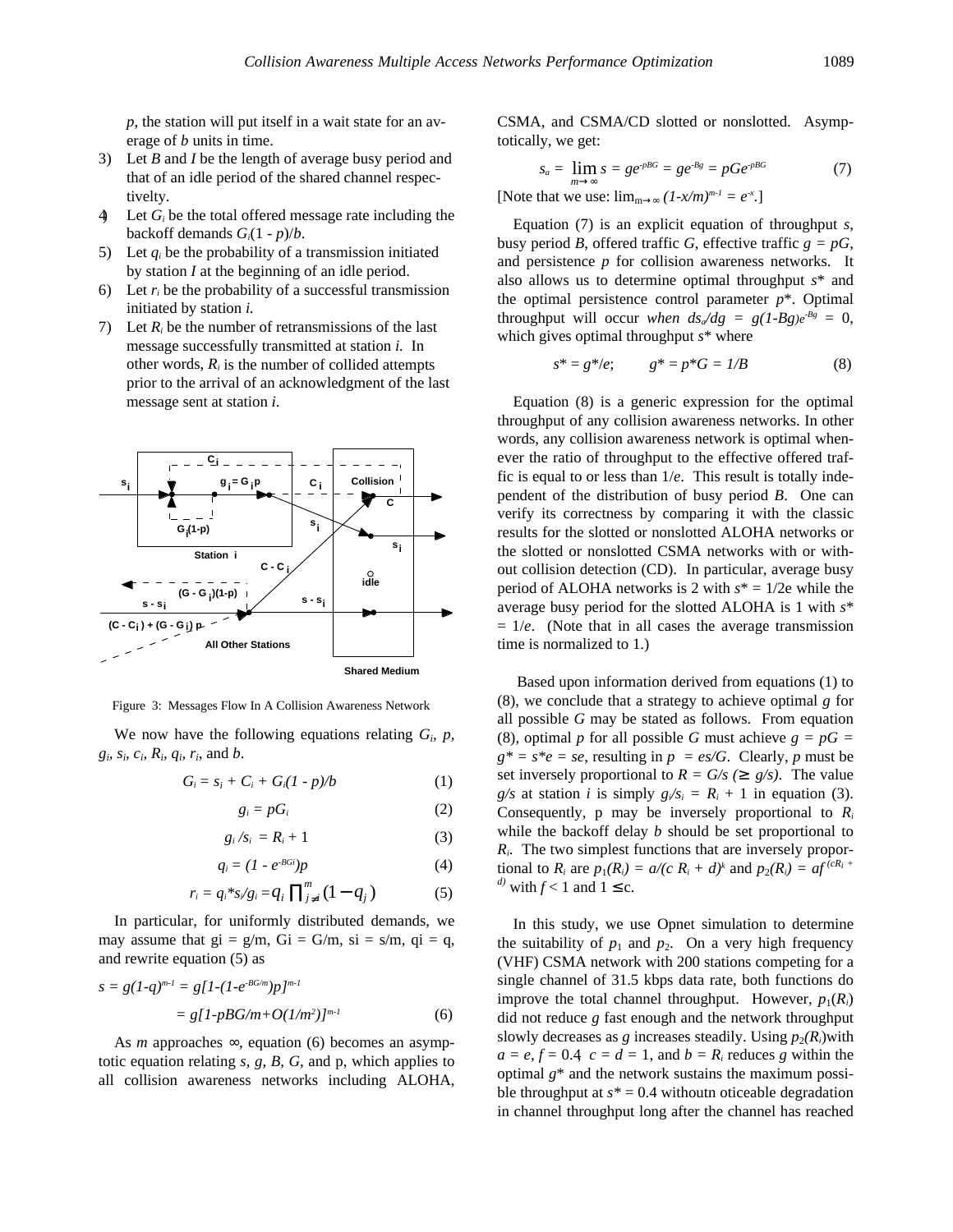*p*, the station will put itself in a wait state for an average of *b* units in time.

- 3) Let *B* and *I* be the length of average busy period and that of an idle period of the shared channel respectivelty.
- 4) Let *Gi* be the total offered message rate including the backoff demands  $G_i(1 - p)/b$ .
- 5) Let  $q_i$  be the probability of a transmission initiated by station *I* at the beginning of an idle period.
- 6) Let  $r_i$  be the probability of a successful transmission initiated by station *i.*
- 7) Let  $R_i$  be the number of retransmissions of the last message successfully transmitted at station *i.* In other words,  $R_i$  is the number of collided attempts prior to the arrival of an acknowledgment of the last message sent at station *i*.



Figure 3: Messages Flow In A Collision Awareness Network

We now have the following equations relating  $G_i$ , p,  $g_i$ ,  $s_i$ ,  $c_i$ ,  $R_i$ ,  $q_i$ ,  $r_i$ , and  $b$ .

$$
G_i = s_i + C_i + G_i(1 - p)/b \qquad (1)
$$

$$
g_i = pG_i \tag{2}
$$

$$
g_i / s_i = R_i + 1 \tag{3}
$$

$$
q_i = (1 - e^{-BGi})p \tag{4}
$$

$$
r_i = q_i * s_i / g_i = q_i \prod_{j \neq i}^{m} (1 - q_j)
$$
 (5)

 In particular, for uniformly distributed demands, we may assume that  $gi = g/m$ ,  $Gi = G/m$ ,  $si = s/m$ ,  $qi = q$ , and rewrite equation (5) as

$$
s = g(1-q)^{m-l} = g[1-(1-e^{-BG/m})p]^{m-l}
$$
  
=  $g[1-pBG/m+O(1/m^2)]^{m-l}$  (6)

As *m* approaches  $\infty$ , equation (6) becomes an asymptotic equation relating *s, g, B, G,* and p, which applies to all collision awareness networks including ALOHA, CSMA, and CSMA/CD slotted or nonslotted. Asymptotically, we get:

$$
s_a = \lim_{m \to \infty} s = g e^{pBG} = g e^{Bg} = pGe^{pBG} \tag{7}
$$

[Note that we use:  $\lim_{m\to\infty} (1-x/m)^{m-1} = e^{-x}$ .]

 Equation (7) is an explicit equation of throughput *s*, busy period *B*, offered traffic *G*, effective traffic  $g = pG$ , and persistence *p* for collision awareness networks. It also allows us to determine optimal throughput *s*\* and the optimal persistence control parameter  $p^*$ . Optimal throughput will occur *when*  $ds_a/dg = g(1-Bg)e^{-Bg} = 0$ , which gives optimal throughput *s*\* where

$$
s^* = g^*/e; \t g^* = p^*G = 1/B \t (8)
$$

 Equation (8) is a generic expression for the optimal throughput of any collision awareness networks. In other words, any collision awareness network is optimal whenever the ratio of throughput to the effective offered traffic is equal to or less than 1/*e*. This result is totally independent of the distribution of busy period *B*. One can verify its correctness by comparing it with the classic results for the slotted or nonslotted ALOHA networks or the slotted or nonslotted CSMA networks with or without collision detection (CD). In particular, average busy period of ALOHA networks is 2 with *s*\* = 1/2e while the average busy period for the slotted ALOHA is 1 with *s*\*  $= 1/e$ . (Note that in all cases the average transmission time is normalized to 1.)

 Based upon information derived from equations (1) to (8), we conclude that a strategy to achieve optimal *g* for all possible *G* may be stated as follows. From equation (8), optimal *p* for all possible *G* must achieve  $g = pG =$  $g^* = s^*e = se$ , resulting in  $p = es/G$ . Clearly, *p* must be set inversely proportional to  $R = G/s$  (<sup>3</sup> g/s). The value  $g/s$  at station *i* is simply  $g/s_i = R_i + 1$  in equation (3). Consequently, p may be inversely proportional to *Ri* while the backoff delay *b* should be set proportional to *Ri*. The two simplest functions that are inversely proportional to  $R_i$  are  $p_1(R_i) = a/(c R_i + d)^k$  and  $p_2(R_i) = af^{(cR_i + d)}$ *d*) with  $f < 1$  and  $1 \leq c$ .

 In this study, we use Opnet simulation to determine the suitability of  $p_1$  and  $p_2$ . On a very high frequency (VHF) CSMA network with 200 stations competing for a single channel of 31.5 kbps data rate, both functions do improve the total channel throughput. However,  $p_1(R_i)$ did not reduce *g* fast enough and the network throughput slowly decreases as *g* increases steadily. Using  $p_2(R_i)$  with  $a = e$ ,  $f = 0.4$ ,  $c = d = 1$ , and  $b = R<sub>i</sub>$  reduces *g* within the optimal *g*\* and the network sustains the maximum possible throughput at  $s^* = 0.4$  withouth oticeable degradation in channel throughput long after the channel has reached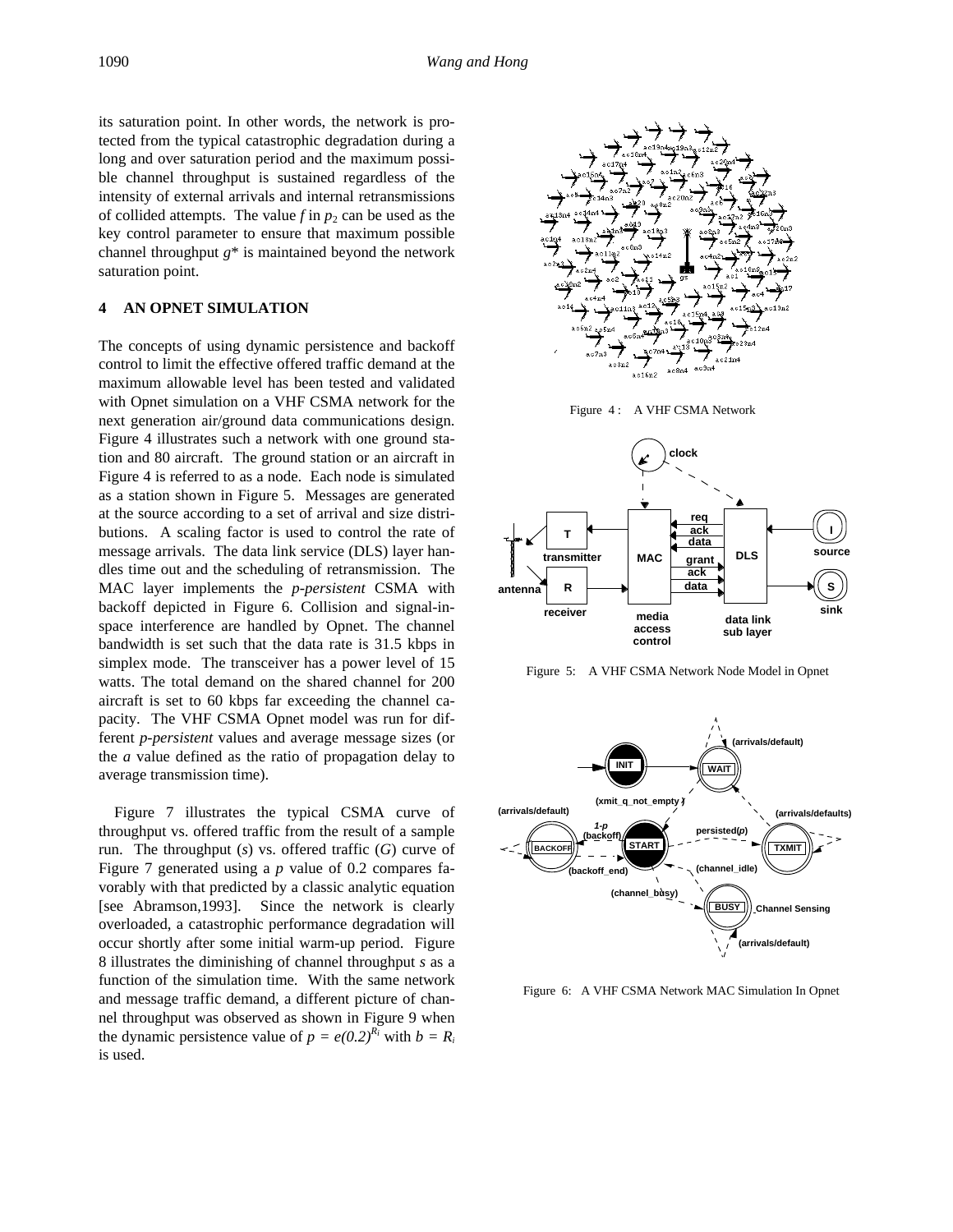its saturation point. In other words, the network is protected from the typical catastrophic degradation during a long and over saturation period and the maximum possible channel throughput is sustained regardless of the intensity of external arrivals and internal retransmissions of collided attempts. The value  $f$  in  $p_2$  can be used as the key control parameter to ensure that maximum possible channel throughput *g*\* is maintained beyond the network saturation point.

# **4 AN OPNET SIMULATION**

The concepts of using dynamic persistence and backoff control to limit the effective offered traffic demand at the maximum allowable level has been tested and validated with Opnet simulation on a VHF CSMA network for the next generation air/ground data communications design. Figure 4 illustrates such a network with one ground station and 80 aircraft. The ground station or an aircraft in Figure 4 is referred to as a node. Each node is simulated as a station shown in Figure 5. Messages are generated at the source according to a set of arrival and size distributions. A scaling factor is used to control the rate of message arrivals. The data link service (DLS) layer handles time out and the scheduling of retransmission. The MAC layer implements the *p-persistent* CSMA with backoff depicted in Figure 6. Collision and signal-inspace interference are handled by Opnet. The channel bandwidth is set such that the data rate is 31.5 kbps in simplex mode. The transceiver has a power level of 15 watts. The total demand on the shared channel for 200 aircraft is set to 60 kbps far exceeding the channel capacity. The VHF CSMA Opnet model was run for different *p-persistent* values and average message sizes (or the *a* value defined as the ratio of propagation delay to average transmission time).

 Figure 7 illustrates the typical CSMA curve of throughput vs. offered traffic from the result of a sample run. The throughput (*s*) vs. offered traffic (*G*) curve of Figure 7 generated using a *p* value of 0.2 compares favorably with that predicted by a classic analytic equation [see Abramson,1993]. Since the network is clearly overloaded, a catastrophic performance degradation will occur shortly after some initial warm-up period. Figure 8 illustrates the diminishing of channel throughput *s* as a function of the simulation time. With the same network and message traffic demand, a different picture of channel throughput was observed as shown in Figure 9 when the dynamic persistence value of  $p = e(0.2)^{R_i}$  with  $b = R_i$ is used.



Figure 4: A VHF CSMA Network



Figure 5: A VHF CSMA Network Node Model in Opnet



Figure 6: A VHF CSMA Network MAC Simulation In Opnet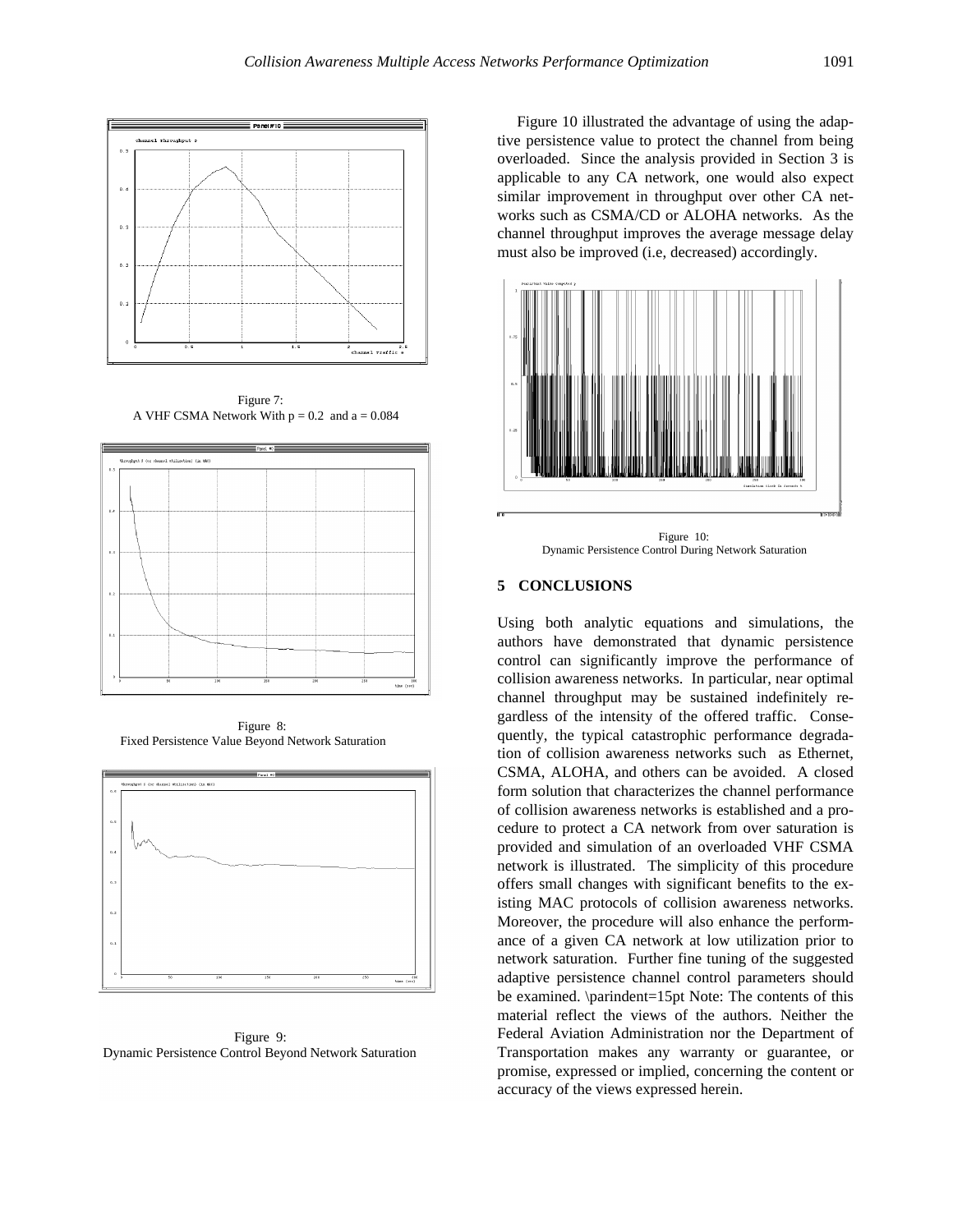

 Figure 7: A VHF CSMA Network With  $p = 0.2$  and  $a = 0.084$ 



 Figure 8: Fixed Persistence Value Beyond Network Saturation



 Figure 9: Dynamic Persistence Control Beyond Network Saturation

 Figure 10 illustrated the advantage of using the adaptive persistence value to protect the channel from being overloaded. Since the analysis provided in Section 3 is applicable to any CA network, one would also expect similar improvement in throughput over other CA networks such as CSMA/CD or ALOHA networks. As the channel throughput improves the average message delay must also be improved (i.e, decreased) accordingly.



Dynamic Persistence Control During Network Saturation

### **5 CONCLUSIONS**

Using both analytic equations and simulations, the authors have demonstrated that dynamic persistence control can significantly improve the performance of collision awareness networks. In particular, near optimal channel throughput may be sustained indefinitely regardless of the intensity of the offered traffic. Consequently, the typical catastrophic performance degradation of collision awareness networks such as Ethernet, CSMA, ALOHA, and others can be avoided. A closed form solution that characterizes the channel performance of collision awareness networks is established and a procedure to protect a CA network from over saturation is provided and simulation of an overloaded VHF CSMA network is illustrated. The simplicity of this procedure offers small changes with significant benefits to the existing MAC protocols of collision awareness networks. Moreover, the procedure will also enhance the performance of a given CA network at low utilization prior to network saturation. Further fine tuning of the suggested adaptive persistence channel control parameters should be examined. \parindent=15pt Note: The contents of this material reflect the views of the authors. Neither the Federal Aviation Administration nor the Department of Transportation makes any warranty or guarantee, or promise, expressed or implied, concerning the content or accuracy of the views expressed herein.